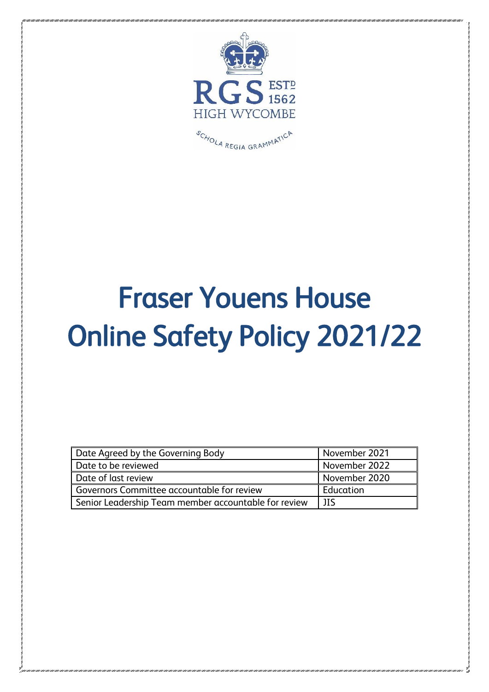

# Fraser Youens House Online Safety Policy 2021/22

| Date Agreed by the Governing Body                    | November 2021 |
|------------------------------------------------------|---------------|
| Date to be reviewed                                  | November 2022 |
| Date of last review                                  | November 2020 |
| Governors Committee accountable for review           | Education     |
| Senior Leadership Team member accountable for review | JIS           |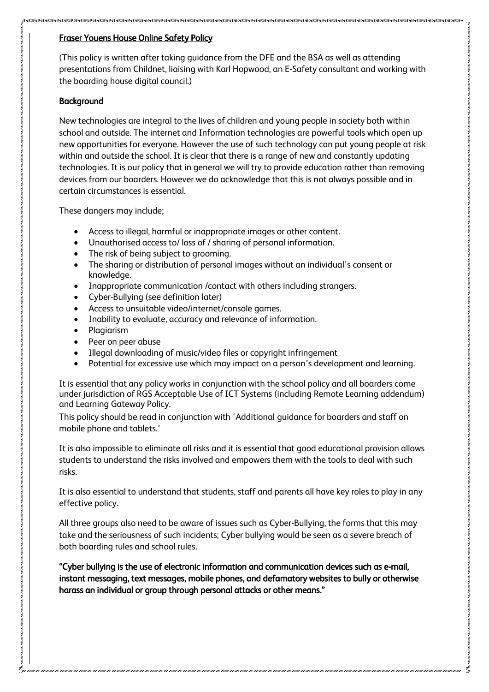#### Fraser Youens House Online Safety Policy

(This policy is written after taking guidance from the DFE and the BSA as well as attending presentations from Childnet, liaising with Karl Hopwood, an E-Safety consultant and working with the boarding house digital council.)

#### **Background**

New technologies are integral to the lives of children and young people in society both within school and outside. The internet and Information technologies are powerful tools which open up new opportunities for everyone. However the use of such technology can put young people at risk within and outside the school. It is clear that there is a range of new and constantly updating technologies. It is our policy that in general we will try to provide education rather than removing devices from our boarders. However we do acknowledge that this is not always possible and in certain circumstances is essential.

These dangers may include;

- Access to illegal, harmful or inappropriate images or other content.
- Unauthorised access to/ loss of / sharing of personal information.
- The risk of being subject to grooming.
- The sharing or distribution of personal images without an individual's consent or knowledge.
- Inappropriate communication /contact with others including strangers.
- Cyber-Bullying (see definition later)
- Access to unsuitable video/internet/console games.
- Inability to evaluate, accuracy and relevance of information.
- Plagiarism
- Peer on peer abuse
- Illegal downloading of music/video files or copyright infringement
- Potential for excessive use which may impact on a person's development and learning.

It is essential that any policy works in conjunction with the school policy and all boarders come under jurisdiction of RGS Acceptable Use of ICT Systems (including Remote Learning addendum) and Learning Gateway Policy.

This policy should be read in conjunction with 'Additional guidance for boarders and staff on mobile phone and tablets.'

It is also impossible to eliminate all risks and it is essential that good educational provision allows students to understand the risks involved and empowers them with the tools to deal with such risks.

It is also essential to understand that students, staff and parents all have key roles to play in any effective policy.

All three groups also need to be aware of issues such as Cyber-Bullying, the forms that this may take and the seriousness of such incidents; Cyber bullying would be seen as a severe breach of both boarding rules and school rules.

"Cyber bullying is the use of electronic information and communication devices such as e-mail, instant messaging, text messages, mobile phones, and defamatory websites to bully or otherwise harass an individual or group through personal attacks or other means."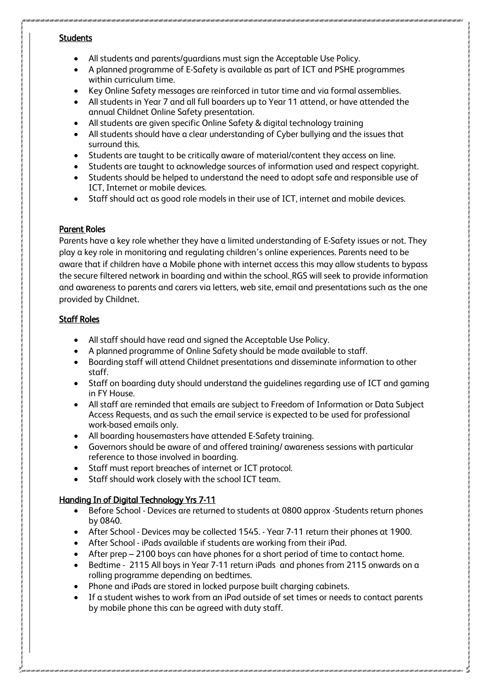#### **Students**

- All students and parents/guardians must sign the Acceptable Use Policy.
- A planned programme of E-Safety is available as part of ICT and PSHE programmes within curriculum time.
- Key Online Safety messages are reinforced in tutor time and via formal assemblies.
- All students in Year 7 and all full boarders up to Year 11 attend, or have attended the annual Childnet Online Safety presentation.
- All students are given specific Online Safety & digital technology training
- All students should have a clear understanding of Cyber bullying and the issues that surround this.
- Students are taught to be critically aware of material/content they access on line.
- Students are taught to acknowledge sources of information used and respect copyright.
- Students should be helped to understand the need to adopt safe and responsible use of ICT, Internet or mobile devices.
- Staff should act as good role models in their use of ICT, internet and mobile devices.

### Parent Roles

Parents have a key role whether they have a limited understanding of E-Safety issues or not. They play a key role in monitoring and regulating children's online experiences. Parents need to be aware that if children have a Mobile phone with internet access this may allow students to bypass the secure filtered network in boarding and within the school. RGS will seek to provide information and awareness to parents and carers via letters, web site, email and presentations such as the one provided by Childnet.

## Staff Roles

- All staff should have read and signed the Acceptable Use Policy.
- A planned programme of Online Safety should be made available to staff.
- Boarding staff will attend Childnet presentations and disseminate information to other staff.
- Staff on boarding duty should understand the guidelines regarding use of ICT and gaming in FY House.
- All staff are reminded that emails are subject to Freedom of Information or Data Subject Access Requests, and as such the email service is expected to be used for professional work-based emails only.
- All boarding housemasters have attended E-Safety training.
- Governors should be aware of and offered training/ awareness sessions with particular reference to those involved in boarding.
- Staff must report breaches of internet or ICT protocol.
- Staff should work closely with the school ICT team.

# Handing In of Digital Technology Yrs 7-11

- Before School Devices are returned to students at 0800 approx -Students return phones by 0840.
- After School Devices may be collected 1545. Year 7-11 return their phones at 1900.
- After School iPads available if students are working from their iPad.
- After prep 2100 boys can have phones for a short period of time to contact home.
- Bedtime 2115 All boys in Year 7-11 return iPads and phones from 2115 onwards on a rolling programme depending on bedtimes.
- Phone and iPads are stored in locked purpose built charging cabinets.
- If a student wishes to work from an iPad outside of set times or needs to contact parents by mobile phone this can be agreed with duty staff.